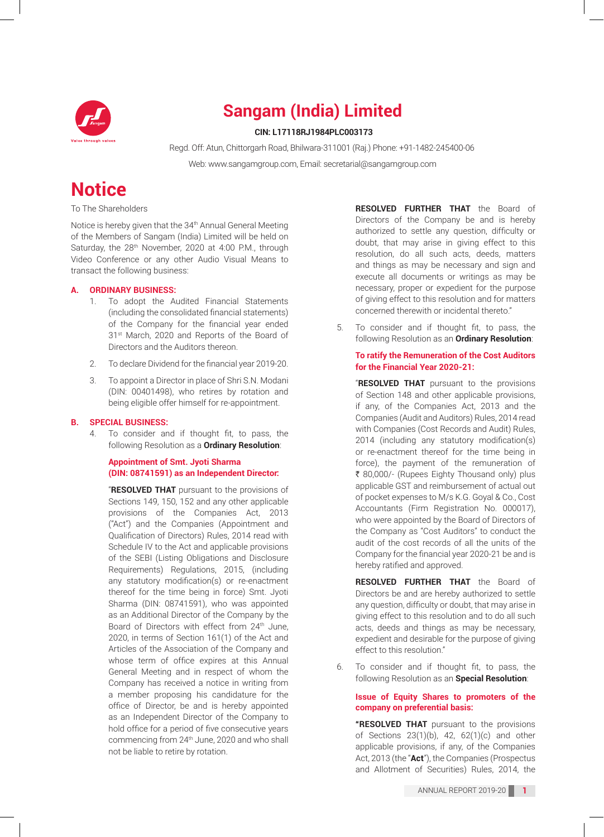

# **Sangam (India) Limited**

### **CIN: L17118RJ1984PLC003173**

 Regd. Off: Atun, Chittorgarh Road, Bhilwara-311001 (Raj.) Phone: +91-1482-245400-06 Web: www.sangamgroup.com, Email: secretarial@sangamgroup.com

# **Notice**

To The Shareholders

Notice is hereby given that the 34<sup>th</sup> Annual General Meeting of the Members of Sangam (India) Limited will be held on Saturday, the 28<sup>th</sup> November, 2020 at 4:00 P.M., through Video Conference or any other Audio Visual Means to transact the following business:

### **A. ORDINARY BUSINESS:**

- 1. To adopt the Audited Financial Statements (including the consolidated financial statements) of the Company for the financial year ended 31<sup>st</sup> March, 2020 and Reports of the Board of Directors and the Auditors thereon.
- 2. To declare Dividend for the financial year 2019-20.
- 3. To appoint a Director in place of Shri S.N. Modani (DIN: 00401498), who retires by rotation and being eligible offer himself for re-appointment.

### **B. SPECIAL BUSINESS:**

4. To consider and if thought fit, to pass, the following Resolution as a **Ordinary Resolution**:

### **Appointment of Smt. Jyoti Sharma (DIN: 08741591) as an Independent Director:**

 "**RESOLVED THAT** pursuant to the provisions of Sections 149, 150, 152 and any other applicable provisions of the Companies Act, 2013 ("Act") and the Companies (Appointment and Qualification of Directors) Rules, 2014 read with Schedule IV to the Act and applicable provisions of the SEBI (Listing Obligations and Disclosure Requirements) Regulations, 2015, (including any statutory modification(s) or re-enactment thereof for the time being in force) Smt. Jyoti Sharma (DIN: 08741591), who was appointed as an Additional Director of the Company by the Board of Directors with effect from 24<sup>th</sup> June, 2020, in terms of Section 161(1) of the Act and Articles of the Association of the Company and whose term of office expires at this Annual General Meeting and in respect of whom the Company has received a notice in writing from a member proposing his candidature for the office of Director, be and is hereby appointed as an Independent Director of the Company to hold office for a period of five consecutive years commencing from 24th June, 2020 and who shall not be liable to retire by rotation.

 **RESOLVED FURTHER THAT** the Board of Directors of the Company be and is hereby authorized to settle any question, difficulty or doubt, that may arise in giving effect to this resolution, do all such acts, deeds, matters and things as may be necessary and sign and execute all documents or writings as may be necessary, proper or expedient for the purpose of giving effect to this resolution and for matters concerned therewith or incidental thereto."

5. To consider and if thought fit, to pass, the following Resolution as an **Ordinary Resolution**:

### **To ratify the Remuneration of the Cost Auditors for the Financial Year 2020-21:**

 "**RESOLVED THAT** pursuant to the provisions of Section 148 and other applicable provisions, if any, of the Companies Act, 2013 and the Companies (Audit and Auditors) Rules, 2014 read with Companies (Cost Records and Audit) Rules, 2014 (including any statutory modification(s) or re-enactment thereof for the time being in force), the payment of the remuneration of ₹ 80,000/- (Rupees Eighty Thousand only) plus applicable GST and reimbursement of actual out of pocket expenses to M/s K.G. Goyal & Co., Cost Accountants (Firm Registration No. 000017), who were appointed by the Board of Directors of the Company as "Cost Auditors" to conduct the audit of the cost records of all the units of the Company for the financial year 2020-21 be and is hereby ratified and approved.

 **RESOLVED FURTHER THAT** the Board of Directors be and are hereby authorized to settle any question, difficulty or doubt, that may arise in giving effect to this resolution and to do all such acts, deeds and things as may be necessary, expedient and desirable for the purpose of giving effect to this resolution."

6. To consider and if thought fit, to pass, the following Resolution as an **Special Resolution**:

### **Issue of Equity Shares to promoters of the company on preferential basis:**

 **"RESOLVED THAT** pursuant to the provisions of Sections 23(1)(b), 42, 62(1)(c) and other applicable provisions, if any, of the Companies Act, 2013 (the "**Act**"), the Companies (Prospectus and Allotment of Securities) Rules, 2014, the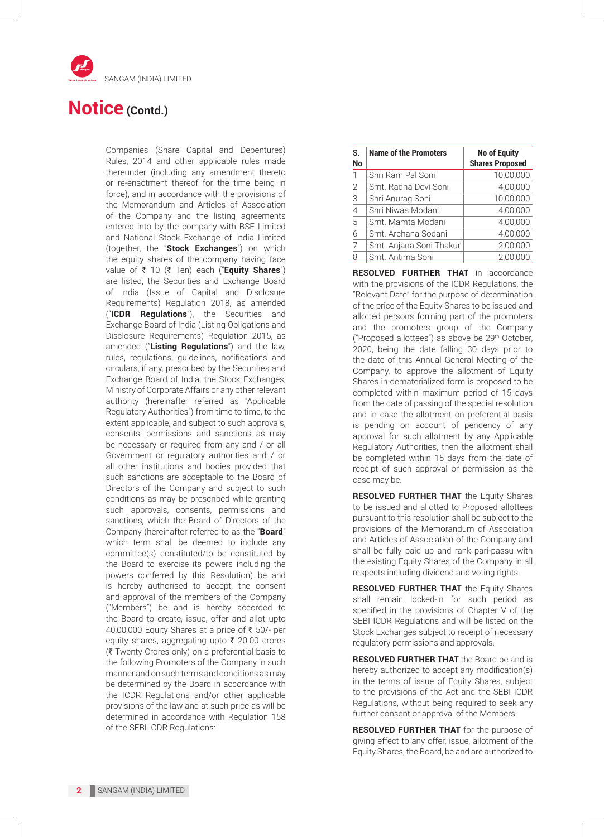

Companies (Share Capital and Debentures) Rules, 2014 and other applicable rules made thereunder (including any amendment thereto or re-enactment thereof for the time being in force), and in accordance with the provisions of the Memorandum and Articles of Association of the Company and the listing agreements entered into by the company with BSE Limited and National Stock Exchange of India Limited (together, the "**Stock Exchanges**") on which the equity shares of the company having face value of ₹ 10 (₹ Ten) each ("**Equity Shares**") are listed, the Securities and Exchange Board of India (Issue of Capital and Disclosure Requirements) Regulation 2018, as amended ("**ICDR Regulations**"), the Securities and Exchange Board of India (Listing Obligations and Disclosure Requirements) Regulation 2015, as amended ("**Listing Regulations**") and the law, rules, regulations, guidelines, notifications and circulars, if any, prescribed by the Securities and Exchange Board of India, the Stock Exchanges, Ministry of Corporate Affairs or any other relevant authority (hereinafter referred as "Applicable Regulatory Authorities") from time to time, to the extent applicable, and subject to such approvals, consents, permissions and sanctions as may be necessary or required from any and / or all Government or regulatory authorities and / or all other institutions and bodies provided that such sanctions are acceptable to the Board of Directors of the Company and subject to such conditions as may be prescribed while granting such approvals, consents, permissions and sanctions, which the Board of Directors of the Company (hereinafter referred to as the "**Board**" which term shall be deemed to include any committee(s) constituted/to be constituted by the Board to exercise its powers including the powers conferred by this Resolution) be and is hereby authorised to accept, the consent and approval of the members of the Company ("Members") be and is hereby accorded to the Board to create, issue, offer and allot upto 40,00,000 Equity Shares at a price of ₹ 50/- per equity shares, aggregating upto  $\bar{\tau}$  20.00 crores  $($ ₹ Twenty Crores only) on a preferential basis to the following Promoters of the Company in such manner and on such terms and conditions as may be determined by the Board in accordance with the ICDR Regulations and/or other applicable provisions of the law and at such price as will be determined in accordance with Regulation 158 of the SEBI ICDR Regulations:

| S.<br><b>No</b> | <b>Name of the Promoters</b> | <b>No of Equity</b><br><b>Shares Proposed</b> |
|-----------------|------------------------------|-----------------------------------------------|
|                 | Shri Ram Pal Soni            | 10,00,000                                     |
| $\overline{2}$  | Smt. Radha Devi Soni         | 4.00.000                                      |
| 3               | Shri Anurag Soni             | 10,00,000                                     |
| 4               | Shri Niwas Modani            | 4,00,000                                      |
| 5               | Smt. Mamta Modani            | 4,00,000                                      |
| 6               | Smt. Archana Sodani          | 4.00.000                                      |
|                 | Smt. Anjana Soni Thakur      | 2,00,000                                      |
| 8               | Smt. Antima Soni             | 2,00,000                                      |

**RESOLVED FURTHER THAT** in accordance with the provisions of the ICDR Regulations, the "Relevant Date" for the purpose of determination of the price of the Equity Shares to be issued and allotted persons forming part of the promoters and the promoters group of the Company ("Proposed allottees") as above be 29th October, 2020, being the date falling 30 days prior to the date of this Annual General Meeting of the Company, to approve the allotment of Equity Shares in dematerialized form is proposed to be completed within maximum period of 15 days from the date of passing of the special resolution and in case the allotment on preferential basis is pending on account of pendency of any approval for such allotment by any Applicable Regulatory Authorities, then the allotment shall be completed within 15 days from the date of receipt of such approval or permission as the case may be.

 **RESOLVED FURTHER THAT** the Equity Shares to be issued and allotted to Proposed allottees pursuant to this resolution shall be subject to the provisions of the Memorandum of Association and Articles of Association of the Company and shall be fully paid up and rank pari-passu with the existing Equity Shares of the Company in all respects including dividend and voting rights.

 **RESOLVED FURTHER THAT** the Equity Shares shall remain locked-in for such period as specified in the provisions of Chapter V of the SEBI ICDR Regulations and will be listed on the Stock Exchanges subject to receipt of necessary regulatory permissions and approvals.

 **RESOLVED FURTHER THAT** the Board be and is hereby authorized to accept any modification(s) in the terms of issue of Equity Shares, subject to the provisions of the Act and the SEBI ICDR Regulations, without being required to seek any further consent or approval of the Members.

 **RESOLVED FURTHER THAT** for the purpose of giving effect to any offer, issue, allotment of the Equity Shares, the Board, be and are authorized to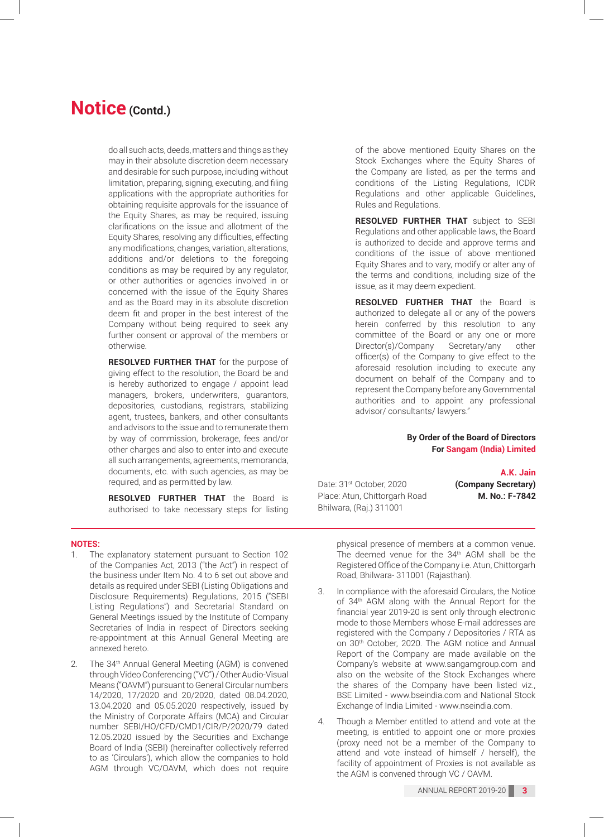do all such acts, deeds, matters and things as they may in their absolute discretion deem necessary and desirable for such purpose, including without limitation, preparing, signing, executing, and filing applications with the appropriate authorities for obtaining requisite approvals for the issuance of the Equity Shares, as may be required, issuing clarifications on the issue and allotment of the Equity Shares, resolving any difficulties, effecting any modifications, changes, variation, alterations, additions and/or deletions to the foregoing conditions as may be required by any regulator, or other authorities or agencies involved in or concerned with the issue of the Equity Shares and as the Board may in its absolute discretion deem fit and proper in the best interest of the Company without being required to seek any further consent or approval of the members or otherwise.

 **RESOLVED FURTHER THAT** for the purpose of giving effect to the resolution, the Board be and is hereby authorized to engage / appoint lead managers, brokers, underwriters, guarantors, depositories, custodians, registrars, stabilizing agent, trustees, bankers, and other consultants and advisors to the issue and to remunerate them by way of commission, brokerage, fees and/or other charges and also to enter into and execute all such arrangements, agreements, memoranda, documents, etc. with such agencies, as may be required, and as permitted by law.

 **RESOLVED FURTHER THAT** the Board is authorised to take necessary steps for listing

of the above mentioned Equity Shares on the Stock Exchanges where the Equity Shares of the Company are listed, as per the terms and conditions of the Listing Regulations, ICDR Regulations and other applicable Guidelines, Rules and Regulations.

 **RESOLVED FURTHER THAT** subject to SEBI Regulations and other applicable laws, the Board is authorized to decide and approve terms and conditions of the issue of above mentioned Equity Shares and to vary, modify or alter any of the terms and conditions, including size of the issue, as it may deem expedient.

 **RESOLVED FURTHER THAT** the Board is authorized to delegate all or any of the powers herein conferred by this resolution to any committee of the Board or any one or more Director(s)/Company Secretary/any other officer(s) of the Company to give effect to the aforesaid resolution including to execute any document on behalf of the Company and to represent the Company before any Governmental authorities and to appoint any professional advisor/ consultants/ lawyers."

### **By Order of the Board of Directors For Sangam (India) Limited**

Date: 31st October, 2020 **(Company Secretary)** Place: Atun, Chittorgarh Road **M. No.: F-7842** Bhilwara, (Raj.) 311001

**A.K. Jain**

### **NOTES:**

- The explanatory statement pursuant to Section 102 of the Companies Act, 2013 ("the Act") in respect of the business under Item No. 4 to 6 set out above and details as required under SEBI (Listing Obligations and Disclosure Requirements) Regulations, 2015 ("SEBI Listing Regulations") and Secretarial Standard on General Meetings issued by the Institute of Company Secretaries of India in respect of Directors seeking re-appointment at this Annual General Meeting are annexed hereto.
- 2. The 34<sup>th</sup> Annual General Meeting (AGM) is convened through Video Conferencing ("VC") / Other Audio-Visual Means ("OAVM") pursuant to General Circular numbers 14/2020, 17/2020 and 20/2020, dated 08.04.2020, 13.04.2020 and 05.05.2020 respectively, issued by the Ministry of Corporate Affairs (MCA) and Circular number SEBI/HO/CFD/CMD1/CIR/P/2020/79 dated 12.05.2020 issued by the Securities and Exchange Board of India (SEBI) (hereinafter collectively referred to as 'Circulars'), which allow the companies to hold AGM through VC/OAVM, which does not require

physical presence of members at a common venue. The deemed venue for the 34<sup>th</sup> AGM shall be the Registered Office of the Company i.e. Atun, Chittorgarh Road, Bhilwara- 311001 (Rajasthan).

- 3. In compliance with the aforesaid Circulars, the Notice of 34<sup>th</sup> AGM along with the Annual Report for the financial year 2019-20 is sent only through electronic mode to those Members whose E-mail addresses are registered with the Company / Depositories / RTA as on 30<sup>th</sup> October, 2020. The AGM notice and Annual Report of the Company are made available on the Company's website at www.sangamgroup.com and also on the website of the Stock Exchanges where the shares of the Company have been listed viz., BSE Limited - www.bseindia.com and National Stock Exchange of India Limited - www.nseindia.com.
- 4. Though a Member entitled to attend and vote at the meeting, is entitled to appoint one or more proxies (proxy need not be a member of the Company to attend and vote instead of himself / herself), the facility of appointment of Proxies is not available as the AGM is convened through VC / OAVM.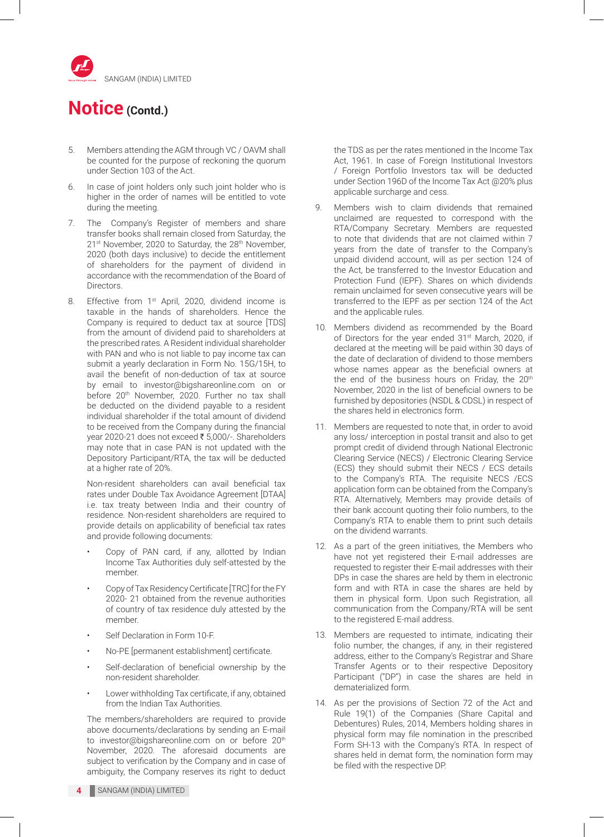

- 5. Members attending the AGM through VC / OAVM shall be counted for the purpose of reckoning the quorum under Section 103 of the Act.
- 6. In case of joint holders only such joint holder who is higher in the order of names will be entitled to vote during the meeting.
- 7. The Company's Register of members and share transfer books shall remain closed from Saturday, the 21<sup>st</sup> November, 2020 to Saturday, the 28<sup>th</sup> November, 2020 (both days inclusive) to decide the entitlement of shareholders for the payment of dividend in accordance with the recommendation of the Board of Directors.
- 8. Effective from 1<sup>st</sup> April, 2020, dividend income is taxable in the hands of shareholders. Hence the Company is required to deduct tax at source [TDS] from the amount of dividend paid to shareholders at the prescribed rates. A Resident individual shareholder with PAN and who is not liable to pay income tax can submit a yearly declaration in Form No. 15G/15H, to avail the benefit of non-deduction of tax at source by email to investor@bigshareonline.com on or before 20<sup>th</sup> November, 2020. Further no tax shall be deducted on the dividend payable to a resident individual shareholder if the total amount of dividend to be received from the Company during the financial year 2020-21 does not exceed  $\bar{\tau}$  5,000/-. Shareholders may note that in case PAN is not updated with the Depository Participant/RTA, the tax will be deducted at a higher rate of 20%.

Non-resident shareholders can avail beneficial tax rates under Double Tax Avoidance Agreement [DTAA] i.e. tax treaty between India and their country of residence. Non-resident shareholders are required to provide details on applicability of beneficial tax rates and provide following documents:

- Copy of PAN card, if any, allotted by Indian Income Tax Authorities duly self-attested by the member.
- Copy of Tax Residency Certificate [TRC] for the FY 2020- 21 obtained from the revenue authorities of country of tax residence duly attested by the member.
- Self Declaration in Form 10-F.
- No-PE [permanent establishment] certificate.
- Self-declaration of beneficial ownership by the non-resident shareholder.
- Lower withholding Tax certificate, if any, obtained from the Indian Tax Authorities.

The members/shareholders are required to provide above documents/declarations by sending an E-mail to investor@bigshareonline.com on or before 20<sup>th</sup> November, 2020. The aforesaid documents are subject to verification by the Company and in case of ambiguity, the Company reserves its right to deduct

the TDS as per the rates mentioned in the Income Tax Act, 1961. In case of Foreign Institutional Investors / Foreign Portfolio Investors tax will be deducted under Section 196D of the Income Tax Act @20% plus applicable surcharge and cess.

- 9. Members wish to claim dividends that remained unclaimed are requested to correspond with the RTA/Company Secretary. Members are requested to note that dividends that are not claimed within 7 years from the date of transfer to the Company's unpaid dividend account, will as per section 124 of the Act, be transferred to the Investor Education and Protection Fund (IEPF). Shares on which dividends remain unclaimed for seven consecutive years will be transferred to the IEPF as per section 124 of the Act and the applicable rules.
- 10. Members dividend as recommended by the Board of Directors for the year ended 31<sup>st</sup> March, 2020, if declared at the meeting will be paid within 30 days of the date of declaration of dividend to those members whose names appear as the beneficial owners at the end of the business hours on Friday, the 20<sup>th</sup> November, 2020 in the list of beneficial owners to be furnished by depositories (NSDL & CDSL) in respect of the shares held in electronics form.
- 11. Members are requested to note that, in order to avoid any loss/ interception in postal transit and also to get prompt credit of dividend through National Electronic Clearing Service (NECS) / Electronic Clearing Service (ECS) they should submit their NECS / ECS details to the Company's RTA. The requisite NECS /ECS application form can be obtained from the Company's RTA. Alternatively, Members may provide details of their bank account quoting their folio numbers, to the Company's RTA to enable them to print such details on the dividend warrants.
- 12. As a part of the green initiatives, the Members who have not yet registered their E-mail addresses are requested to register their E-mail addresses with their DPs in case the shares are held by them in electronic form and with RTA in case the shares are held by them in physical form. Upon such Registration, all communication from the Company/RTA will be sent to the registered E-mail address.
- 13. Members are requested to intimate, indicating their folio number, the changes, if any, in their registered address, either to the Company's Registrar and Share Transfer Agents or to their respective Depository Participant ("DP") in case the shares are held in dematerialized form.
- 14. As per the provisions of Section 72 of the Act and Rule 19(1) of the Companies (Share Capital and Debentures) Rules, 2014, Members holding shares in physical form may file nomination in the prescribed Form SH-13 with the Company's RTA. In respect of shares held in demat form, the nomination form may be filed with the respective DP.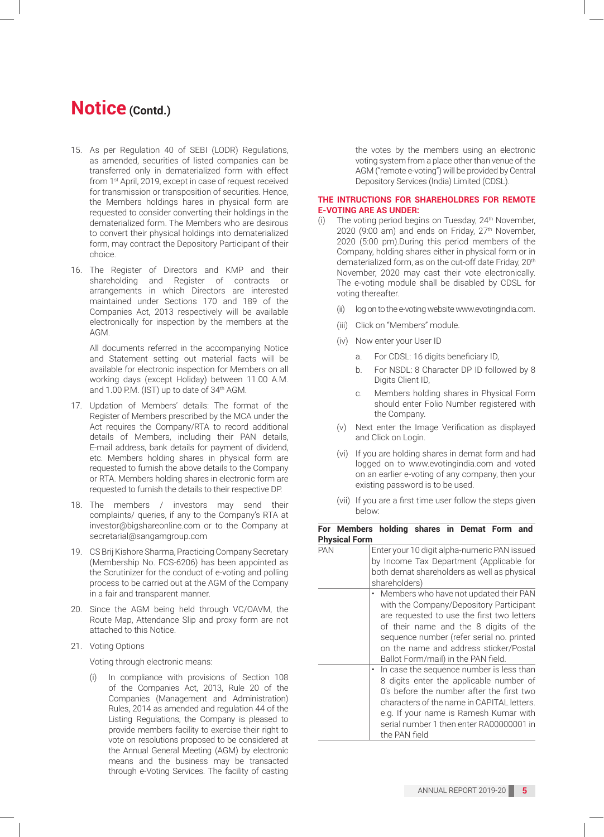- 15. As per Regulation 40 of SEBI (LODR) Regulations, as amended, securities of listed companies can be transferred only in dematerialized form with effect from 1st April, 2019, except in case of request received for transmission or transposition of securities. Hence, the Members holdings hares in physical form are requested to consider converting their holdings in the dematerialized form. The Members who are desirous to convert their physical holdings into dematerialized form, may contract the Depository Participant of their choice.
- 16. The Register of Directors and KMP and their shareholding and Register of contracts or arrangements in which Directors are interested maintained under Sections 170 and 189 of the Companies Act, 2013 respectively will be available electronically for inspection by the members at the AGM.

All documents referred in the accompanying Notice and Statement setting out material facts will be available for electronic inspection for Members on all working days (except Holiday) between 11.00 A.M. and 1.00 P.M. (IST) up to date of 34th AGM.

- 17. Updation of Members' details: The format of the Register of Members prescribed by the MCA under the Act requires the Company/RTA to record additional details of Members, including their PAN details, E-mail address, bank details for payment of dividend, etc. Members holding shares in physical form are requested to furnish the above details to the Company or RTA. Members holding shares in electronic form are requested to furnish the details to their respective DP.
- 18. The members / investors may send their complaints/ queries, if any to the Company's RTA at investor@bigshareonline.com or to the Company at secretarial@sangamgroup.com
- 19. CS Brij Kishore Sharma, Practicing Company Secretary (Membership No. FCS-6206) has been appointed as the Scrutinizer for the conduct of e-voting and polling process to be carried out at the AGM of the Company in a fair and transparent manner.
- 20. Since the AGM being held through VC/OAVM, the Route Map, Attendance Slip and proxy form are not attached to this Notice.
- 21. Voting Options

Voting through electronic means:

(i) In compliance with provisions of Section 108 of the Companies Act, 2013, Rule 20 of the Companies (Management and Administration) Rules, 2014 as amended and regulation 44 of the Listing Regulations, the Company is pleased to provide members facility to exercise their right to vote on resolutions proposed to be considered at the Annual General Meeting (AGM) by electronic means and the business may be transacted through e-Voting Services. The facility of casting

the votes by the members using an electronic voting system from a place other than venue of the AGM ("remote e-voting") will be provided by Central Depository Services (India) Limited (CDSL).

#### **THE INTRUCTIONS FOR SHAREHOLDRES FOR REMOTE E-VOTING ARE AS UNDER:**

- (i) The voting period begins on Tuesday,  $24<sup>th</sup>$  November, 2020 (9:00 am) and ends on Friday, 27<sup>th</sup> November, 2020 (5:00 pm).During this period members of the Company, holding shares either in physical form or in dematerialized form, as on the cut-off date Friday, 20<sup>th</sup> November, 2020 may cast their vote electronically. The e-voting module shall be disabled by CDSL for voting thereafter.
	- log on to the e-voting website www.evotingindia.com.
	- (iii) Click on "Members" module.
	- (iv) Now enter your User ID
		- a. For CDSL: 16 digits beneficiary ID,
		- b. For NSDL: 8 Character DP ID followed by 8 Digits Client ID,
		- c. Members holding shares in Physical Form should enter Folio Number registered with the Company.
	- (v) Next enter the Image Verification as displayed and Click on Login.
	- (vi) If you are holding shares in demat form and had logged on to www.evotingindia.com and voted on an earlier e-voting of any company, then your existing password is to be used.
	- (vii) If you are a first time user follow the steps given below:

|                      | For Members holding shares in Demat Form and                                                                                                                                                                                                                                                                |  |  |  |  |
|----------------------|-------------------------------------------------------------------------------------------------------------------------------------------------------------------------------------------------------------------------------------------------------------------------------------------------------------|--|--|--|--|
| <b>Physical Form</b> |                                                                                                                                                                                                                                                                                                             |  |  |  |  |
| <b>PAN</b>           | Enter your 10 digit alpha-numeric PAN issued<br>by Income Tax Department (Applicable for<br>both demat shareholders as well as physical<br>shareholders)                                                                                                                                                    |  |  |  |  |
|                      | Members who have not updated their PAN<br>٠<br>with the Company/Depository Participant<br>are requested to use the first two letters<br>of their name and the 8 digits of the<br>sequence number (refer serial no. printed<br>on the name and address sticker/Postal<br>Ballot Form/mail) in the PAN field. |  |  |  |  |
|                      | In case the sequence number is less than<br>$\bullet$<br>8 digits enter the applicable number of<br>O's before the number after the first two<br>characters of the name in CAPITAL letters.<br>e.g. If your name is Ramesh Kumar with<br>serial number 1 then enter RA00000001 in<br>the PAN field          |  |  |  |  |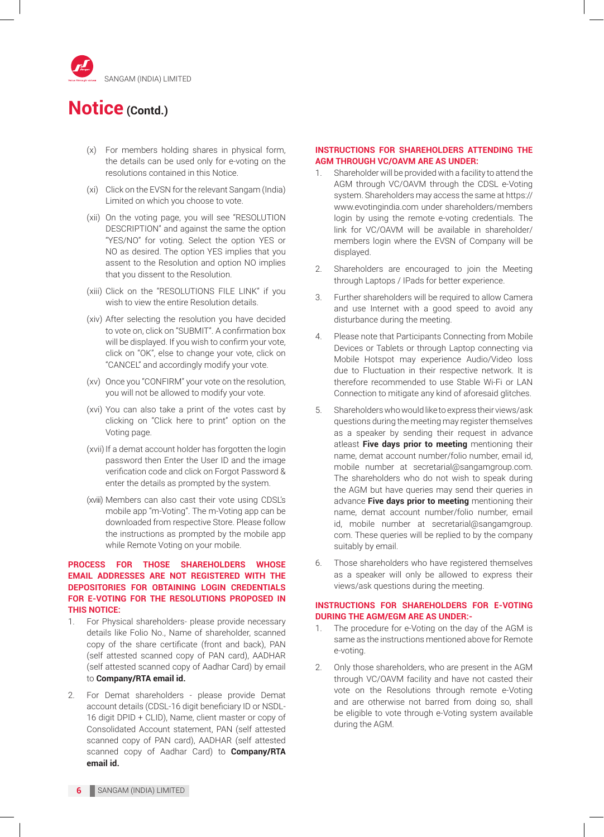

- (x) For members holding shares in physical form, the details can be used only for e-voting on the resolutions contained in this Notice.
- (xi) Click on the EVSN for the relevant Sangam (India) Limited on which you choose to vote.
- (xii) On the voting page, you will see "RESOLUTION DESCRIPTION" and against the same the option "YES/NO" for voting. Select the option YES or NO as desired. The option YES implies that you assent to the Resolution and option NO implies that you dissent to the Resolution.
- (xiii) Click on the "RESOLUTIONS FILE LINK" if you wish to view the entire Resolution details.
- (xiv) After selecting the resolution you have decided to vote on, click on "SUBMIT". A confirmation box will be displayed. If you wish to confirm your vote, click on "OK", else to change your vote, click on "CANCEL" and accordingly modify your vote.
- (xv) Once you "CONFIRM" your vote on the resolution, you will not be allowed to modify your vote.
- (xvi) You can also take a print of the votes cast by clicking on "Click here to print" option on the Voting page.
- (xvii) If a demat account holder has forgotten the login password then Enter the User ID and the image verification code and click on Forgot Password & enter the details as prompted by the system.
- (xviii) Members can also cast their vote using CDSL's mobile app "m-Voting". The m-Voting app can be downloaded from respective Store. Please follow the instructions as prompted by the mobile app while Remote Voting on your mobile.

### **PROCESS FOR THOSE SHAREHOLDERS WHOSE EMAIL ADDRESSES ARE NOT REGISTERED WITH THE DEPOSITORIES FOR OBTAINING LOGIN CREDENTIALS FOR E-VOTING FOR THE RESOLUTIONS PROPOSED IN THIS NOTICE:**

- For Physical shareholders- please provide necessary details like Folio No., Name of shareholder, scanned copy of the share certificate (front and back), PAN (self attested scanned copy of PAN card), AADHAR (self attested scanned copy of Aadhar Card) by email to **Company/RTA email id.**
- 2. For Demat shareholders please provide Demat account details (CDSL-16 digit beneficiary ID or NSDL-16 digit DPID + CLID), Name, client master or copy of Consolidated Account statement, PAN (self attested scanned copy of PAN card), AADHAR (self attested scanned copy of Aadhar Card) to **Company/RTA email id.**

### **INSTRUCTIONS FOR SHAREHOLDERS ATTENDING THE AGM THROUGH VC/OAVM ARE AS UNDER:**

- 1. Shareholder will be provided with a facility to attend the AGM through VC/OAVM through the CDSL e-Voting system. Shareholders may access the same at https:// www.evotingindia.com under shareholders/members login by using the remote e-voting credentials. The link for VC/OAVM will be available in shareholder/ members login where the EVSN of Company will be displayed.
- 2. Shareholders are encouraged to join the Meeting through Laptops / IPads for better experience.
- 3. Further shareholders will be required to allow Camera and use Internet with a good speed to avoid any disturbance during the meeting.
- 4. Please note that Participants Connecting from Mobile Devices or Tablets or through Laptop connecting via Mobile Hotspot may experience Audio/Video loss due to Fluctuation in their respective network. It is therefore recommended to use Stable Wi-Fi or LAN Connection to mitigate any kind of aforesaid glitches.
- 5. Shareholders who would like to express their views/ask questions during the meeting may register themselves as a speaker by sending their request in advance atleast **Five days prior to meeting** mentioning their name, demat account number/folio number, email id, mobile number at secretarial@sangamgroup.com. The shareholders who do not wish to speak during the AGM but have queries may send their queries in advance **Five days prior to meeting** mentioning their name, demat account number/folio number, email id, mobile number at secretarial@sangamgroup. com. These queries will be replied to by the company suitably by email.
- 6. Those shareholders who have registered themselves as a speaker will only be allowed to express their views/ask questions during the meeting.

### **INSTRUCTIONS FOR SHAREHOLDERS FOR E-VOTING DURING THE AGM/EGM ARE AS UNDER:-**

- 1. The procedure for e-Voting on the day of the AGM is same as the instructions mentioned above for Remote e-voting.
- 2. Only those shareholders, who are present in the AGM through VC/OAVM facility and have not casted their vote on the Resolutions through remote e-Voting and are otherwise not barred from doing so, shall be eligible to vote through e-Voting system available during the AGM.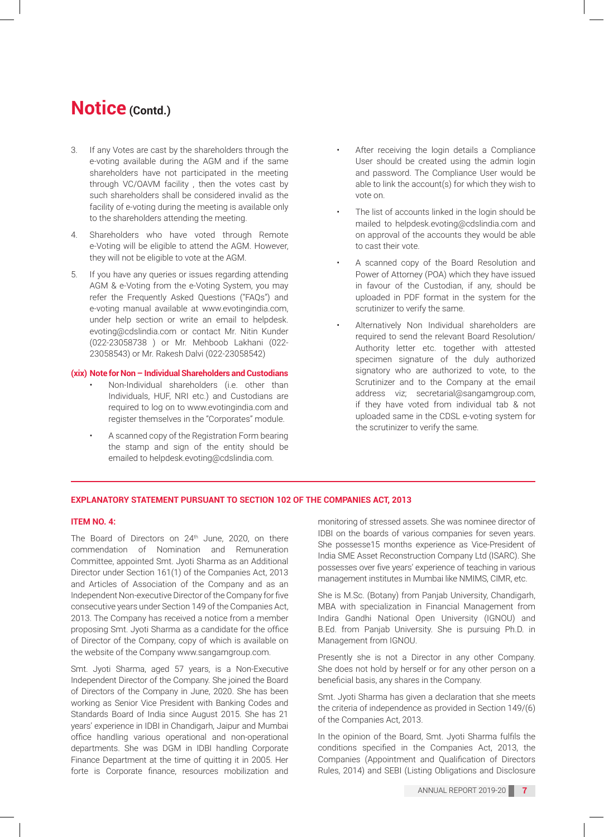- 3. If any Votes are cast by the shareholders through the e-voting available during the AGM and if the same shareholders have not participated in the meeting through VC/OAVM facility , then the votes cast by such shareholders shall be considered invalid as the facility of e-voting during the meeting is available only to the shareholders attending the meeting.
- 4. Shareholders who have voted through Remote e-Voting will be eligible to attend the AGM. However, they will not be eligible to vote at the AGM.
- 5. If you have any queries or issues regarding attending AGM & e-Voting from the e-Voting System, you may refer the Frequently Asked Questions ("FAQs") and e-voting manual available at www.evotingindia.com, under help section or write an email to helpdesk. evoting@cdslindia.com or contact Mr. Nitin Kunder (022-23058738 ) or Mr. Mehboob Lakhani (022- 23058543) or Mr. Rakesh Dalvi (022-23058542)

#### **(xix) Note for Non – Individual Shareholders and Custodians**

- Non-Individual shareholders (i.e. other than Individuals, HUF, NRI etc.) and Custodians are required to log on to www.evotingindia.com and register themselves in the "Corporates" module.
- A scanned copy of the Registration Form bearing the stamp and sign of the entity should be emailed to helpdesk.evoting@cdslindia.com.
- After receiving the login details a Compliance User should be created using the admin login and password. The Compliance User would be able to link the account(s) for which they wish to vote on.
- The list of accounts linked in the login should be mailed to helpdesk.evoting@cdslindia.com and on approval of the accounts they would be able to cast their vote.
- A scanned copy of the Board Resolution and Power of Attorney (POA) which they have issued in favour of the Custodian, if any, should be uploaded in PDF format in the system for the scrutinizer to verify the same.
- Alternatively Non Individual shareholders are required to send the relevant Board Resolution/ Authority letter etc. together with attested specimen signature of the duly authorized signatory who are authorized to vote, to the Scrutinizer and to the Company at the email address viz; secretarial@sangamgroup.com, if they have voted from individual tab & not uploaded same in the CDSL e-voting system for the scrutinizer to verify the same.

### **EXPLANATORY STATEMENT PURSUANT TO SECTION 102 OF THE COMPANIES ACT, 2013**

#### **ITEM NO. 4:**

The Board of Directors on 24<sup>th</sup> June, 2020, on there commendation of Nomination and Remuneration Committee, appointed Smt. Jyoti Sharma as an Additional Director under Section 161(1) of the Companies Act, 2013 and Articles of Association of the Company and as an Independent Non-executive Director of the Company for five consecutive years under Section 149 of the Companies Act, 2013. The Company has received a notice from a member proposing Smt. Jyoti Sharma as a candidate for the office of Director of the Company, copy of which is available on the website of the Company www.sangamgroup.com.

Smt. Jyoti Sharma, aged 57 years, is a Non-Executive Independent Director of the Company. She joined the Board of Directors of the Company in June, 2020. She has been working as Senior Vice President with Banking Codes and Standards Board of India since August 2015. She has 21 years' experience in IDBI in Chandigarh, Jaipur and Mumbai office handling various operational and non-operational departments. She was DGM in IDBI handling Corporate Finance Department at the time of quitting it in 2005. Her forte is Corporate finance, resources mobilization and monitoring of stressed assets. She was nominee director of IDBI on the boards of various companies for seven years. She possesse15 months experience as Vice-President of India SME Asset Reconstruction Company Ltd (ISARC). She possesses over five years' experience of teaching in various management institutes in Mumbai like NMIMS, CIMR, etc.

She is M.Sc. (Botany) from Panjab University, Chandigarh, MBA with specialization in Financial Management from Indira Gandhi National Open University (IGNOU) and B.Ed. from Panjab University. She is pursuing Ph.D. in Management from IGNOU.

Presently she is not a Director in any other Company. She does not hold by herself or for any other person on a beneficial basis, any shares in the Company.

Smt. Jyoti Sharma has given a declaration that she meets the criteria of independence as provided in Section 149/(6) of the Companies Act, 2013.

In the opinion of the Board, Smt. Jyoti Sharma fulfils the conditions specified in the Companies Act, 2013, the Companies (Appointment and Qualification of Directors Rules, 2014) and SEBI (Listing Obligations and Disclosure

ANNUAL REPORT 2019-20 **7**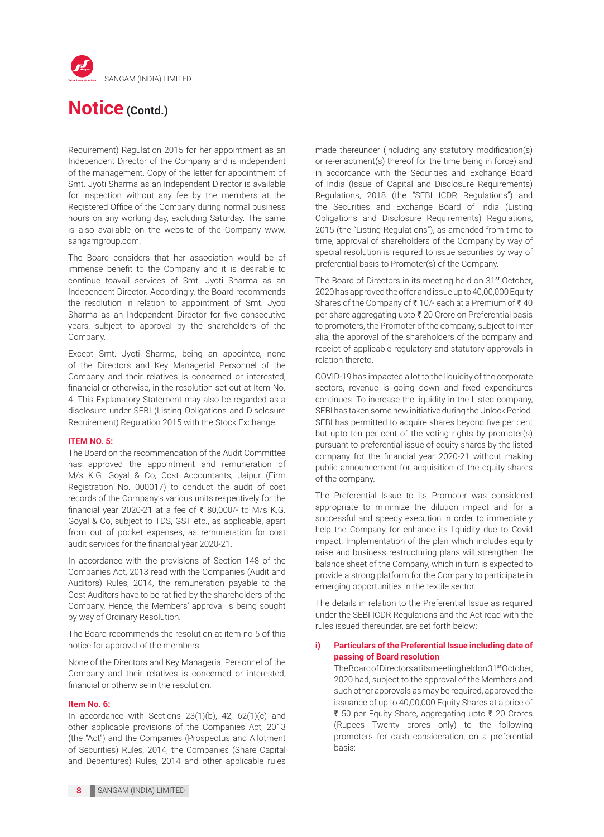

Requirement) Regulation 2015 for her appointment as an Independent Director of the Company and is independent of the management. Copy of the letter for appointment of Smt. Jyoti Sharma as an Independent Director is available for inspection without any fee by the members at the Registered Office of the Company during normal business hours on any working day, excluding Saturday. The same is also available on the website of the Company www. sangamgroup.com.

The Board considers that her association would be of immense benefit to the Company and it is desirable to continue toavail services of Smt. Jyoti Sharma as an Independent Director. Accordingly, the Board recommends the resolution in relation to appointment of Smt. Jyoti Sharma as an Independent Director for five consecutive years, subject to approval by the shareholders of the Company.

Except Smt. Jyoti Sharma, being an appointee, none of the Directors and Key Managerial Personnel of the Company and their relatives is concerned or interested, financial or otherwise, in the resolution set out at Item No. 4. This Explanatory Statement may also be regarded as a disclosure under SEBI (Listing Obligations and Disclosure Requirement) Regulation 2015 with the Stock Exchange.

#### **ITEM NO. 5:**

The Board on the recommendation of the Audit Committee has approved the appointment and remuneration of M/s K.G. Goyal & Co, Cost Accountants, Jaipur (Firm Registration No. 000017) to conduct the audit of cost records of the Company's various units respectively for the financial year 2020-21 at a fee of ₹ 80,000/- to M/s K.G. Goyal & Co, subject to TDS, GST etc., as applicable, apart from out of pocket expenses, as remuneration for cost audit services for the financial year 2020-21.

In accordance with the provisions of Section 148 of the Companies Act, 2013 read with the Companies (Audit and Auditors) Rules, 2014, the remuneration payable to the Cost Auditors have to be ratified by the shareholders of the Company, Hence, the Members' approval is being sought by way of Ordinary Resolution.

The Board recommends the resolution at item no 5 of this notice for approval of the members.

None of the Directors and Key Managerial Personnel of the Company and their relatives is concerned or interested, financial or otherwise in the resolution.

#### **Item No. 6:**

In accordance with Sections  $23(1)(b)$ , 42,  $62(1)(c)$  and other applicable provisions of the Companies Act, 2013 (the "Act") and the Companies (Prospectus and Allotment of Securities) Rules, 2014, the Companies (Share Capital and Debentures) Rules, 2014 and other applicable rules made thereunder (including any statutory modification(s) or re-enactment(s) thereof for the time being in force) and in accordance with the Securities and Exchange Board of India (Issue of Capital and Disclosure Requirements) Regulations, 2018 (the "SEBI ICDR Regulations") and the Securities and Exchange Board of India (Listing Obligations and Disclosure Requirements) Regulations, 2015 (the "Listing Regulations"), as amended from time to time, approval of shareholders of the Company by way of special resolution is required to issue securities by way of preferential basis to Promoter(s) of the Company.

The Board of Directors in its meeting held on 31<sup>st</sup> October, 2020 has approved the offer and issue up to 40,00,000 Equity Shares of the Company of  $\bar{\tau}$  10/- each at a Premium of  $\bar{\tau}$  40 per share aggregating upto  $\bar{\tau}$  20 Crore on Preferential basis to promoters, the Promoter of the company, subject to inter alia, the approval of the shareholders of the company and receipt of applicable regulatory and statutory approvals in relation thereto.

COVID-19 has impacted a lot to the liquidity of the corporate sectors, revenue is going down and fixed expenditures continues. To increase the liquidity in the Listed company, SEBI has taken some new initiative during the Unlock Period. SEBI has permitted to acquire shares beyond five per cent but upto ten per cent of the voting rights by promoter(s) pursuant to preferential issue of equity shares by the listed company for the financial year 2020-21 without making public announcement for acquisition of the equity shares of the company.

The Preferential Issue to its Promoter was considered appropriate to minimize the dilution impact and for a successful and speedy execution in order to immediately help the Company for enhance its liquidity due to Covid impact. Implementation of the plan which includes equity raise and business restructuring plans will strengthen the balance sheet of the Company, which in turn is expected to provide a strong platform for the Company to participate in emerging opportunities in the textile sector.

The details in relation to the Preferential Issue as required under the SEBI ICDR Regulations and the Act read with the rules issued thereunder, are set forth below:

### **i) Particulars of the Preferential Issue including date of passing of Board resolution**

The Board of Directors at its meeting held on 31st October, 2020 had, subject to the approval of the Members and such other approvals as may be required, approved the issuance of up to 40,00,000 Equity Shares at a price of ₹ 50 per Equity Share, aggregating upto  $\bar{\tau}$  20 Crores (Rupees Twenty crores only) to the following promoters for cash consideration, on a preferential basis: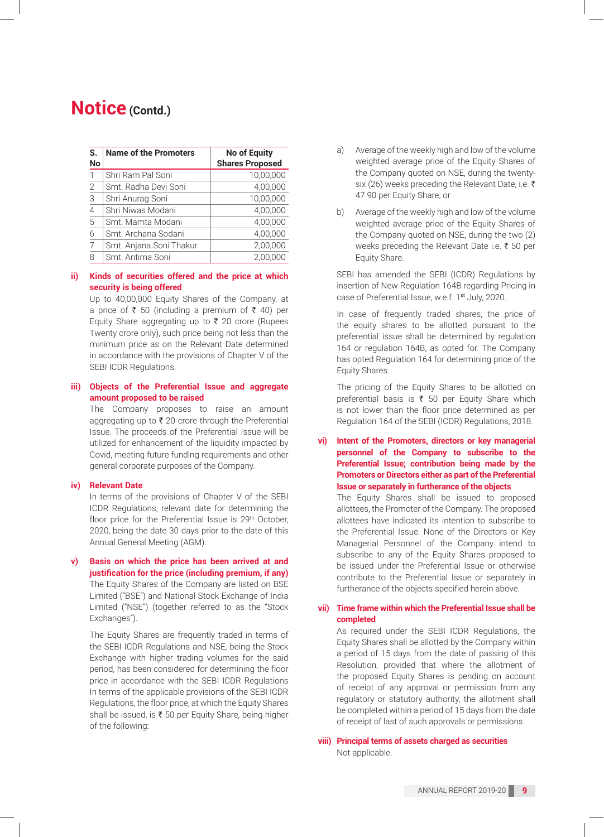| S.<br><b>No</b> | <b>Name of the Promoters</b> | <b>No of Equity</b><br><b>Shares Proposed</b> |
|-----------------|------------------------------|-----------------------------------------------|
| 1               | Shri Ram Pal Soni            | 10.00.000                                     |
| $\overline{2}$  | Smt. Radha Devi Soni         | 4,00,000                                      |
| 3               | Shri Anurag Soni             | 10,00,000                                     |
| $\overline{4}$  | Shri Niwas Modani            | 4,00,000                                      |
| 5               | Smt. Mamta Modani            | 4,00,000                                      |
| 6               | Smt. Archana Sodani          | 4,00,000                                      |
| 7               | Smt. Anjana Soni Thakur      | 2,00,000                                      |
| 8               | Smt. Antima Soni             | 2.00.000                                      |

### **ii) Kinds of securities offered and the price at which security is being offered**

Up to 40,00,000 Equity Shares of the Company, at a price of  $\bar{\tau}$  50 (including a premium of  $\bar{\tau}$  40) per Equity Share aggregating up to  $\bar{\tau}$  20 crore (Rupees Twenty crore only), such price being not less than the minimum price as on the Relevant Date determined in accordance with the provisions of Chapter V of the SEBI ICDR Regulations.

### **iii) Objects of the Preferential Issue and aggregate amount proposed to be raised**

The Company proposes to raise an amount aggregating up to  $\bar{\tau}$  20 crore through the Preferential Issue. The proceeds of the Preferential Issue will be utilized for enhancement of the liquidity impacted by Covid, meeting future funding requirements and other general corporate purposes of the Company.

### **iv) Relevant Date**

In terms of the provisions of Chapter V of the SEBI ICDR Regulations, relevant date for determining the floor price for the Preferential Issue is 29<sup>th</sup> October, 2020, being the date 30 days prior to the date of this Annual General Meeting (AGM).

**v) Basis on which the price has been arrived at and justification for the price (including premium, if any)** The Equity Shares of the Company are listed on BSE Limited ("BSE") and National Stock Exchange of India Limited ("NSE") (together referred to as the "Stock Exchanges").

The Equity Shares are frequently traded in terms of the SEBI ICDR Regulations and NSE, being the Stock Exchange with higher trading volumes for the said period, has been considered for determining the floor price in accordance with the SEBI ICDR Regulations In terms of the applicable provisions of the SEBI ICDR Regulations, the floor price, at which the Equity Shares shall be issued, is  $\bar{\tau}$  50 per Equity Share, being higher of the following:

- a) Average of the weekly high and low of the volume weighted average price of the Equity Shares of the Company quoted on NSE, during the twentysix (26) weeks preceding the Relevant Date, i.e.  $\bar{\tau}$ 47.90 per Equity Share; or
- b) Average of the weekly high and low of the volume weighted average price of the Equity Shares of the Company quoted on NSE, during the two (2) weeks preceding the Relevant Date i.e.  $\bar{\xi}$  50 per Equity Share.

SEBI has amended the SEBI (ICDR) Regulations by insertion of New Regulation 164B regarding Pricing in case of Preferential Issue, w.e.f. 1<sup>st</sup> July, 2020.

In case of frequently traded shares, the price of the equity shares to be allotted pursuant to the preferential issue shall be determined by regulation 164 or regulation 164B, as opted for. The Company has opted Regulation 164 for determining price of the Equity Shares.

The pricing of the Equity Shares to be allotted on preferential basis is  $\bar{\tau}$  50 per Equity Share which is not lower than the floor price determined as per Regulation 164 of the SEBI (ICDR) Regulations, 2018.

**vi) Intent of the Promoters, directors or key managerial personnel of the Company to subscribe to the Preferential Issue; contribution being made by the Promoters or Directors either as part of the Preferential Issue or separately in furtherance of the objects**

The Equity Shares shall be issued to proposed allottees, the Promoter of the Company. The proposed allottees have indicated its intention to subscribe to the Preferential Issue. None of the Directors or Key Managerial Personnel of the Company intend to subscribe to any of the Equity Shares proposed to be issued under the Preferential Issue or otherwise contribute to the Preferential Issue or separately in furtherance of the objects specified herein above.

### **vii) Time frame within which the Preferential Issue shall be completed**

As required under the SEBI ICDR Regulations, the Equity Shares shall be allotted by the Company within a period of 15 days from the date of passing of this Resolution, provided that where the allotment of the proposed Equity Shares is pending on account of receipt of any approval or permission from any regulatory or statutory authority, the allotment shall be completed within a period of 15 days from the date of receipt of last of such approvals or permissions.

### **viii) Principal terms of assets charged as securities** Not applicable.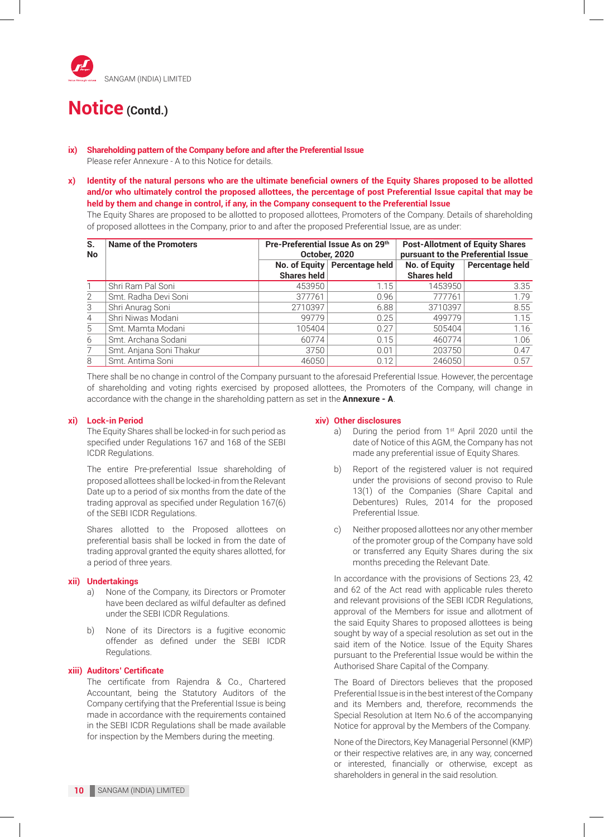

### **ix) Shareholding pattern of the Company before and after the Preferential Issue** Please refer Annexure - A to this Notice for details.

**x) Identity of the natural persons who are the ultimate beneficial owners of the Equity Shares proposed to be allotted and/or who ultimately control the proposed allottees, the percentage of post Preferential Issue capital that may be held by them and change in control, if any, in the Company consequent to the Preferential Issue**

The Equity Shares are proposed to be allotted to proposed allottees, Promoters of the Company. Details of shareholding of proposed allottees in the Company, prior to and after the proposed Preferential Issue, are as under:

| S.<br><b>No</b> | Pre-Preferential Issue As on 29th<br><b>Name of the Promoters</b><br>October, 2020 |                    |                                 | <b>Post-Allotment of Equity Shares</b><br>pursuant to the Preferential Issue |                 |  |
|-----------------|------------------------------------------------------------------------------------|--------------------|---------------------------------|------------------------------------------------------------------------------|-----------------|--|
|                 |                                                                                    | <b>Shares held</b> | No. of Equity   Percentage held | No. of Equity<br><b>Shares held</b>                                          | Percentage held |  |
|                 | Shri Ram Pal Soni                                                                  | 453950             | 1.15                            | 1453950                                                                      | 3.35            |  |
| 2               | Smt. Radha Devi Soni                                                               | 377761             | 0.96                            | 777761                                                                       | 1.79            |  |
| 3               | Shri Anurag Soni                                                                   | 2710397            | 6.88                            | 3710397                                                                      | 8.55            |  |
| 4               | Shri Niwas Modani                                                                  | 99779              | 0.25                            | 499779                                                                       | 1.15            |  |
| 5               | Smt. Mamta Modani                                                                  | 105404             | 0.27                            | 505404                                                                       | 1.16            |  |
| 6               | Smt. Archana Sodani                                                                | 60774              | 0.15                            | 460774                                                                       | 1.06            |  |
| 7               | Smt. Anjana Soni Thakur                                                            | 3750               | 0.01                            | 203750                                                                       | 0.47            |  |
| 8               | Smt. Antima Soni                                                                   | 46050              | 0.12                            | 246050                                                                       | 0.57            |  |

There shall be no change in control of the Company pursuant to the aforesaid Preferential Issue. However, the percentage of shareholding and voting rights exercised by proposed allottees, the Promoters of the Company, will change in accordance with the change in the shareholding pattern as set in the **Annexure - A**.

#### **xi) Lock-in Period**

The Equity Shares shall be locked-in for such period as specified under Regulations 167 and 168 of the SEBI ICDR Regulations.

The entire Pre-preferential Issue shareholding of proposed allottees shall be locked-in from the Relevant Date up to a period of six months from the date of the trading approval as specified under Regulation 167(6) of the SEBI ICDR Regulations.

Shares allotted to the Proposed allottees on preferential basis shall be locked in from the date of trading approval granted the equity shares allotted, for a period of three years.

### **xii) Undertakings**

- a) None of the Company, its Directors or Promoter have been declared as wilful defaulter as defined under the SEBI ICDR Regulations.
- b) None of its Directors is a fugitive economic offender as defined under the SEBI ICDR Regulations.

#### **xiii) Auditors' Certificate**

The certificate from Rajendra & Co., Chartered Accountant, being the Statutory Auditors of the Company certifying that the Preferential Issue is being made in accordance with the requirements contained in the SEBI ICDR Regulations shall be made available for inspection by the Members during the meeting.

#### **xiv) Other disclosures**

- a) During the period from  $1<sup>st</sup>$  April 2020 until the date of Notice of this AGM, the Company has not made any preferential issue of Equity Shares.
- b) Report of the registered valuer is not required under the provisions of second proviso to Rule 13(1) of the Companies (Share Capital and Debentures) Rules, 2014 for the proposed Preferential Issue.
- c) Neither proposed allottees nor any other member of the promoter group of the Company have sold or transferred any Equity Shares during the six months preceding the Relevant Date.

In accordance with the provisions of Sections 23, 42 and 62 of the Act read with applicable rules thereto and relevant provisions of the SEBI ICDR Regulations, approval of the Members for issue and allotment of the said Equity Shares to proposed allottees is being sought by way of a special resolution as set out in the said item of the Notice. Issue of the Equity Shares pursuant to the Preferential Issue would be within the Authorised Share Capital of the Company.

The Board of Directors believes that the proposed Preferential Issue is in the best interest of the Company and its Members and, therefore, recommends the Special Resolution at Item No.6 of the accompanying Notice for approval by the Members of the Company.

None of the Directors, Key Managerial Personnel (KMP) or their respective relatives are, in any way, concerned or interested, financially or otherwise, except as shareholders in general in the said resolution.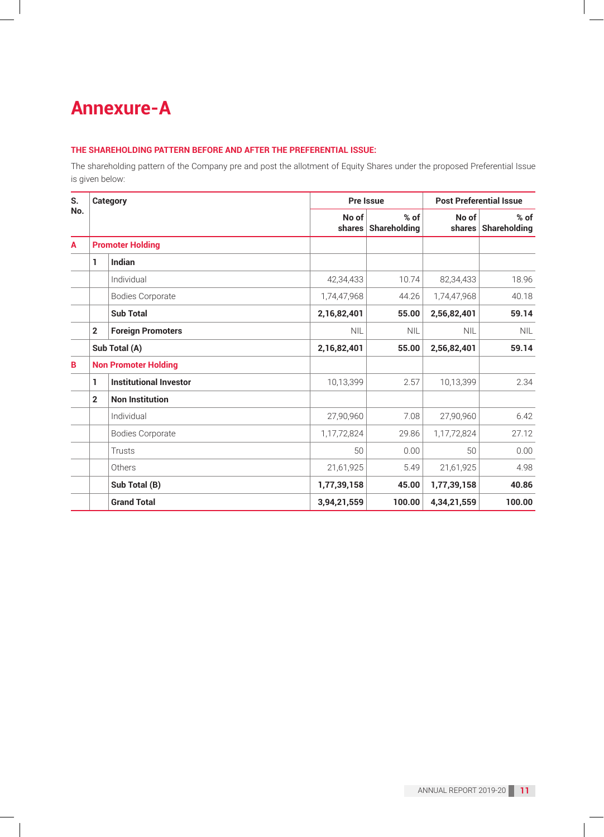# **Annexure-A**

### **THE SHAREHOLDING PATTERN BEFORE AND AFTER THE PREFERENTIAL ISSUE:**

The shareholding pattern of the Company pre and post the allotment of Equity Shares under the proposed Preferential Issue is given below:

| S.  | Category                |                               |                 | <b>Pre Issue</b>       |             | <b>Post Preferential Issue</b> |  |
|-----|-------------------------|-------------------------------|-----------------|------------------------|-------------|--------------------------------|--|
| No. |                         |                               | No of<br>shares | $%$ of<br>Shareholding | No of       | $%$ of<br>shares Shareholding  |  |
| A   | <b>Promoter Holding</b> |                               |                 |                        |             |                                |  |
|     | 1                       | <b>Indian</b>                 |                 |                        |             |                                |  |
|     |                         | Individual                    | 42,34,433       | 10.74                  | 82,34,433   | 18.96                          |  |
|     |                         | <b>Bodies Corporate</b>       | 1,74,47,968     | 44.26                  | 1,74,47,968 | 40.18                          |  |
|     |                         | <b>Sub Total</b>              | 2,16,82,401     | 55.00                  | 2,56,82,401 | 59.14                          |  |
|     | $\mathbf{2}$            | <b>Foreign Promoters</b>      | <b>NIL</b>      | <b>NIL</b>             | <b>NIL</b>  | <b>NIL</b>                     |  |
|     |                         | Sub Total (A)                 | 2,16,82,401     | 55.00                  | 2,56,82,401 | 59.14                          |  |
| B   |                         | <b>Non Promoter Holding</b>   |                 |                        |             |                                |  |
|     | 1                       | <b>Institutional Investor</b> | 10,13,399       | 2.57                   | 10,13,399   | 2.34                           |  |
|     | $\overline{2}$          | <b>Non Institution</b>        |                 |                        |             |                                |  |
|     |                         | Individual                    | 27,90,960       | 7.08                   | 27,90,960   | 6.42                           |  |
|     |                         | <b>Bodies Corporate</b>       | 1,17,72,824     | 29.86                  | 1,17,72,824 | 27.12                          |  |
|     |                         | Trusts                        | 50              | 0.00                   | 50          | 0.00                           |  |
|     |                         | Others                        | 21,61,925       | 5.49                   | 21,61,925   | 4.98                           |  |
|     |                         | Sub Total (B)                 | 1,77,39,158     | 45.00                  | 1,77,39,158 | 40.86                          |  |
|     |                         | <b>Grand Total</b>            | 3,94,21,559     | 100.00                 | 4,34,21,559 | 100.00                         |  |